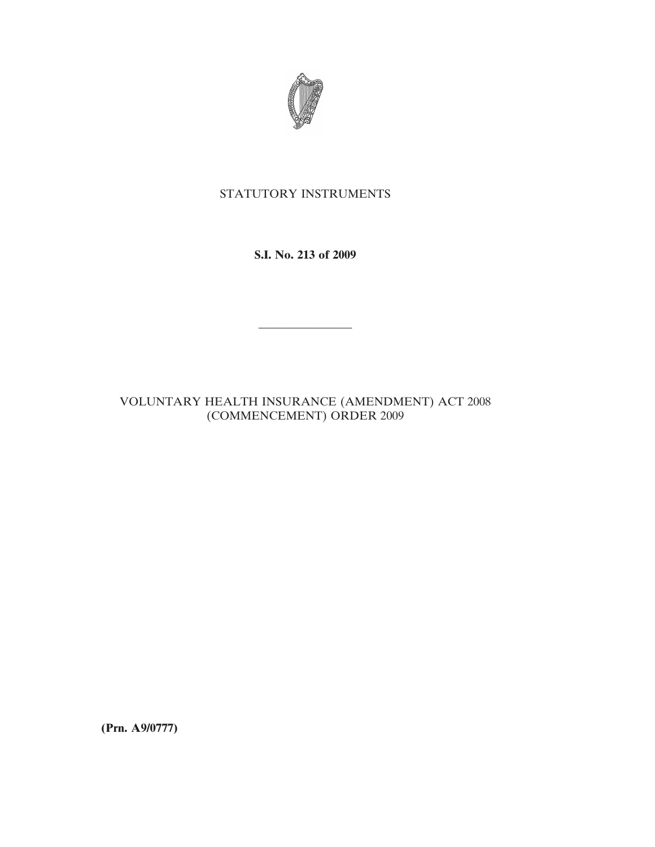

## STATUTORY INSTRUMENTS

**S.I. No. 213 of 2009**

————————

VOLUNTARY HEALTH INSURANCE (AMENDMENT) ACT 2008 (COMMENCEMENT) ORDER 2009

**(Prn. A9/0777)**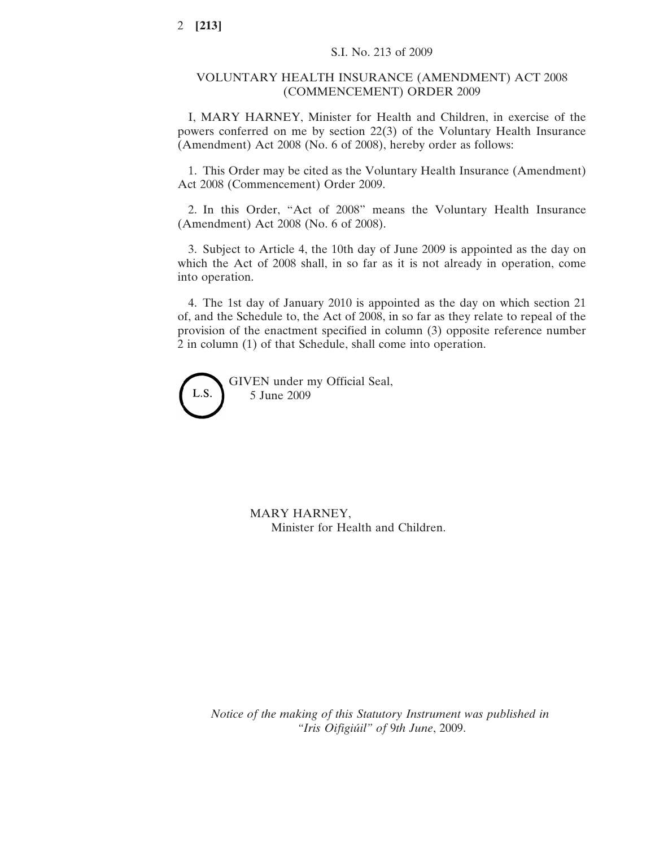## VOLUNTARY HEALTH INSURANCE (AMENDMENT) ACT 2008 (COMMENCEMENT) ORDER 2009

I, MARY HARNEY, Minister for Health and Children, in exercise of the powers conferred on me by section 22(3) of the Voluntary Health Insurance (Amendment) Act 2008 (No. 6 of 2008), hereby order as follows:

1. This Order may be cited as the Voluntary Health Insurance (Amendment) Act 2008 (Commencement) Order 2009.

2. In this Order, "Act of 2008" means the Voluntary Health Insurance (Amendment) Act 2008 (No. 6 of 2008).

3. Subject to Article 4, the 10th day of June 2009 is appointed as the day on which the Act of 2008 shall, in so far as it is not already in operation, come into operation.

4. The 1st day of January 2010 is appointed as the day on which section 21 of, and the Schedule to, the Act of 2008, in so far as they relate to repeal of the provision of the enactment specified in column (3) opposite reference number 2 in column (1) of that Schedule, shall come into operation.

GIVEN under my Official Seal, L.S. 5 June 2009

> MARY HARNEY, Minister for Health and Children.

*Notice of the making of this Statutory Instrument was published in "Iris Oifigiu´il" of* 9*th June*, 2009.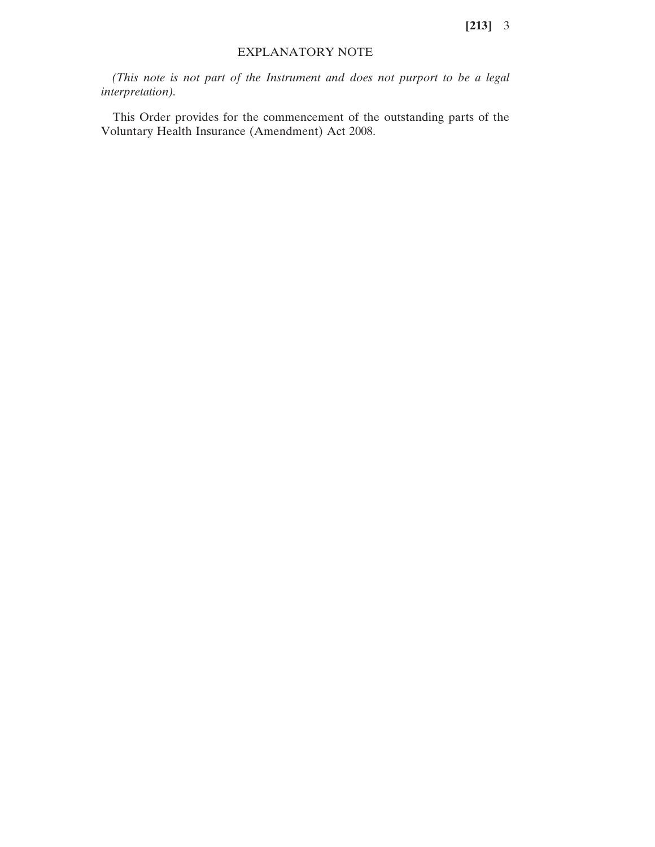**[213]** 3

## EXPLANATORY NOTE

*(This note is not part of the Instrument and does not purport to be a legal interpretation).*

This Order provides for the commencement of the outstanding parts of the Voluntary Health Insurance (Amendment) Act 2008.